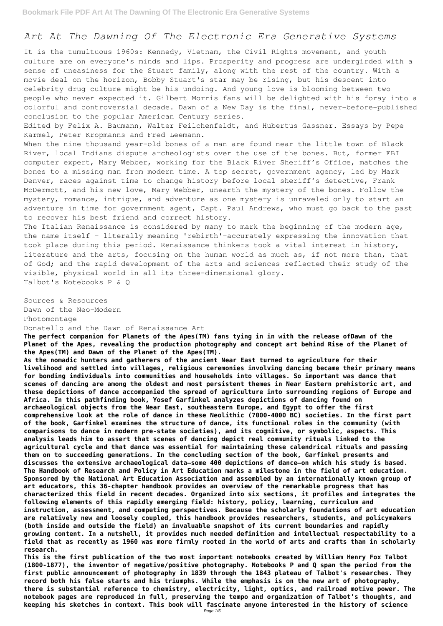## *Art At The Dawning Of The Electronic Era Generative Systems*

It is the tumultuous 1960s: Kennedy, Vietnam, the Civil Rights movement, and youth culture are on everyone's minds and lips. Prosperity and progress are undergirded with a sense of uneasiness for the Stuart family, along with the rest of the country. With a movie deal on the horizon, Bobby Stuart's star may be rising, but his descent into celebrity drug culture might be his undoing. And young love is blooming between two people who never expected it. Gilbert Morris fans will be delighted with his foray into a colorful and controversial decade. Dawn of a New Day is the final, never-before-published conclusion to the popular American Century series.

When the nine thousand year-old bones of a man are found near the little town of Black River, local Indians dispute archeologists over the use of the bones. But, former FBI computer expert, Mary Webber, working for the Black River Sheriff's Office, matches the bones to a missing man from modern time. A top secret, government agency, led by Mark Denver, races against time to change history before local sheriff's detective, Frank McDermott, and his new love, Mary Webber, unearth the mystery of the bones. Follow the mystery, romance, intrigue, and adventure as one mystery is unraveled only to start an adventure in time for government agent, Capt. Paul Andrews, who must go back to the past to recover his best friend and correct history.

Edited by Felix A. Baumann, Walter Feilchenfeldt, and Hubertus Gassner. Essays by Pepe Karmel, Peter Kropmanns and Fred Leemann.

The Italian Renaissance is considered by many to mark the beginning of the modern age, the name itself - literally meaning 'rebirth'-accurately expressing the innovation that took place during this period. Renaissance thinkers took a vital interest in history, literature and the arts, focusing on the human world as much as, if not more than, that of God; and the rapid development of the arts and sciences reflected their study of the visible, physical world in all its three-dimensional glory. Talbot's Notebooks P & Q

Sources & Resources Dawn of the Neo-Modern Photomontage

Donatello and the Dawn of Renaissance Art

**The perfect companion for Planets of the Apes(TM) fans tying in in with the release ofDawn of the Planet of the Apes, revealing the production photography and concept art behind Rise of the Planet of the Apes(TM) and Dawn of the Planet of the Apes(TM).**

**As the nomadic hunters and gatherers of the ancient Near East turned to agriculture for their livelihood and settled into villages, religious ceremonies involving dancing became their primary means for bonding individuals into communities and households into villages. So important was dance that scenes of dancing are among the oldest and most persistent themes in Near Eastern prehistoric art, and these depictions of dance accompanied the spread of agriculture into surrounding regions of Europe and Africa. In this pathfinding book, Yosef Garfinkel analyzes depictions of dancing found on archaeological objects from the Near East, southeastern Europe, and Egypt to offer the first comprehensive look at the role of dance in these Neolithic (7000-4000 BC) societies. In the first part of the book, Garfinkel examines the structure of dance, its functional roles in the community (with comparisons to dance in modern pre-state societies), and its cognitive, or symbolic, aspects. This analysis leads him to assert that scenes of dancing depict real community rituals linked to the agricultural cycle and that dance was essential for maintaining these calendrical rituals and passing them on to succeeding generations. In the concluding section of the book, Garfinkel presents and discusses the extensive archaeological data—some 400 depictions of dance—on which his study is based. The Handbook of Research and Policy in Art Education marks a milestone in the field of art education. Sponsored by the National Art Education Association and assembled by an internationally known group of art educators, this 36-chapter handbook provides an overview of the remarkable progress that has characterized this field in recent decades. Organized into six sections, it profiles and integrates the following elements of this rapidly emerging field: history, policy, learning, curriculum and instruction, assessment, and competing perspectives. Because the scholarly foundations of art education are relatively new and loosely coupled, this handbook provides researchers, students, and policymakers (both inside and outside the field) an invaluable snapshot of its current boundaries and rapidly growing content. In a nutshell, it provides much needed definition and intellectual respectability to a field that as recently as 1960 was more firmly rooted in the world of arts and crafts than in scholarly research. This is the first publication of the two most important notebooks created by William Henry Fox Talbot (1800-1877), the inventor of negative/positive photography. Notebooks P and Q span the period from the first public announcement of photography in 1839 through the 1843 plateau of Talbot's researches. They record both his false starts and his triumphs. While the emphasis is on the new art of photography, there is substantial reference to chemistry, electricity, light, optics, and railroad motive power. The notebook pages are reproduced in full, preserving the tempo and organization of Talbot's thoughts, and keeping his sketches in context. This book will fascinate anyone interested in the history of science**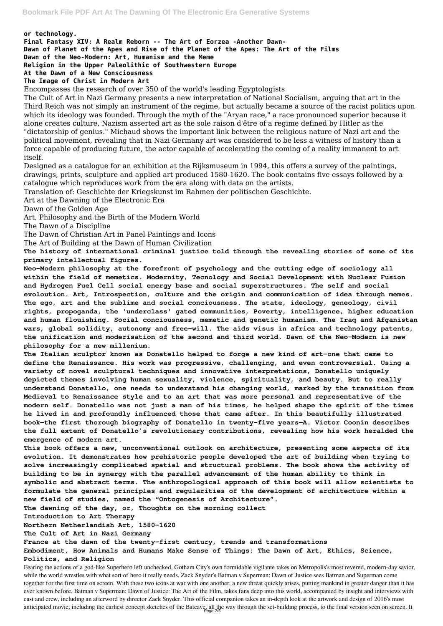## **or technology.**

**Final Fantasy XIV: A Realm Reborn -- The Art of Eorzea -Another Dawn-**

**Dawn of Planet of the Apes and Rise of the Planet of the Apes: The Art of the Films**

**Dawn of the Neo-Modern: Art, Humanism and the Meme**

**Religion in the Upper Paleolithic of Southwestern Europe**

## **At the Dawn of a New Consciousness**

## **The Image of Christ in Modern Art**

Encompasses the research of over 350 of the world's leading Egyptologists

The Cult of Art in Nazi Germany presents a new interpretation of National Socialism, arguing that art in the Third Reich was not simply an instrument of the regime, but actually became a source of the racist politics upon which its ideology was founded. Through the myth of the "Aryan race," a race pronounced superior because it alone creates culture, Nazism asserted art as the sole raison d'être of a regime defined by Hitler as the "dictatorship of genius." Michaud shows the important link between the religious nature of Nazi art and the political movement, revealing that in Nazi Germany art was considered to be less a witness of history than a force capable of producing future, the actor capable of accelerating the coming of a reality immanent to art itself.

Designed as a catalogue for an exhibition at the Rijksmuseum in 1994, this offers a survey of the paintings, drawings, prints, sculpture and applied art produced 1580-1620. The book contains five essays followed by a catalogue which reproduces work from the era along with data on the artists.

Translation of: Geschichte der Kriegskunst im Rahmen der politischen Geschichte.

Art at the Dawning of the Electronic Era

Dawn of the Golden Age

Art, Philosophy and the Birth of the Modern World

The Dawn of a Discipline

The Dawn of Christian Art in Panel Paintings and Icons

The Art of Building at the Dawn of Human Civilization

**This book offers a new, unconventional outlook on architecture, presenting some aspects of its evolution. It demonstrates how prehistoric people developed the art of building when trying to solve increasingly complicated spatial and structural problems. The book shows the activity of building to be in synergy with the parallel advancement of the human ability to think in symbolic and abstract terms. The anthropological approach of this book will allow scientists to formulate the general principles and regularities of the development of architecture within a new field of studies, named the "Ontogenesis of Architecture". The dawning of the day, or, Thoughts on the morning collect Introduction to Art Therapy Northern Netherlandish Art, 1580-1620 The Cult of Art in Nazi Germany France at the dawn of the twenty-first century, trends and transformations Embodiment, How Animals and Humans Make Sense of Things: The Dawn of Art, Ethics, Science, Politics, and Religion** Fearing the actions of a god-like Superhero left unchecked, Gotham City's own formidable vigilante takes on Metropolis's most revered, modern-day savior, while the world wrestles with what sort of hero it really needs. Zack Snyder's Batman v Superman: Dawn of Justice sees Batman and Superman come together for the first time on screen. With these two icons at war with one another, a new threat quickly arises, putting mankind in greater danger than it has ever known before. Batman v Superman: Dawn of Justice: The Art of the Film, takes fans deep into this world, accompanied by insight and interviews with cast and crew, including an afterword by director Zack Snyder. This official companion takes an in-depth look at the artwork and design of 2016's most anticipated movie, including the earliest concept sketches of the Batcave, all the way through the set-building process, to the final version seen on screen. It

**The history of international criminal justice told through the revealing stories of some of its primary intellectual figures.**

**Neo-Modern philosophy at the forefront of psychology and the cutting edge of sociology all within the field of memetics. Modernity, Tecnology and Social Development with Nuclear Fusion and Hydrogen Fuel Cell social energy base and social superstructures. The self and social evoloution. Art, Introspection, culture and the origin and communication of idea through memes. The ego, art and the sublime and social conciousness. The state, ideology, geneology, civil rights, propoganda, the 'underclass' gated communities, Poverty, intelligence, higher education and human flouishing. Social conciousness, memetic and genetic humanism. The Iraq and Afganistan wars, global solidity, autonomy and free-will. The aids visus in africa and technology patents, the unification and moderisation of the second and third world. Dawn of the Neo-Modern is new philosophy for a new millenium.**

**The Italian sculptor known as Donatello helped to forge a new kind of art—one that came to define the Renaissance. His work was progressive, challenging, and even controversial. Using a variety of novel sculptural techniques and innovative interpretations, Donatello uniquely depicted themes involving human sexuality, violence, spirituality, and beauty. But to really understand Donatello, one needs to understand his changing world, marked by the transition from Medieval to Renaissance style and to an art that was more personal and representative of the modern self. Donatello was not just a man of his times, he helped shape the spirit of the times he lived in and profoundly influenced those that came after. In this beautifully illustrated book—the first thorough biography of Donatello in twenty-five years—A. Victor Coonin describes the full extent of Donatello's revolutionary contributions, revealing how his work heralded the emergence of modern art.**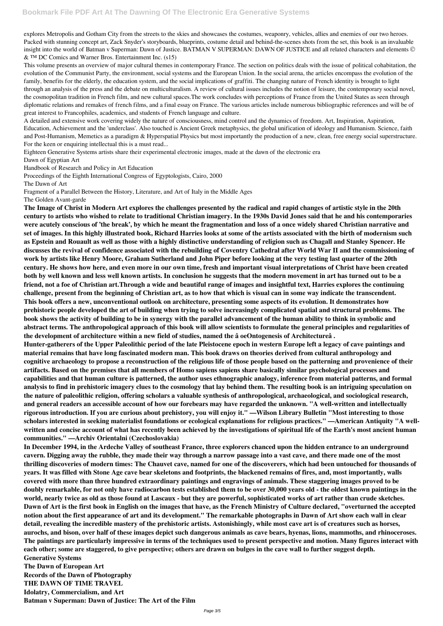explores Metropolis and Gotham City from the streets to the skies and showcases the costumes, weaponry, vehicles, allies and enemies of our two heroes. Packed with stunning concept art, Zack Snyder's storyboards, blueprints, costume detail and behind-the-scenes shots from the set, this book is an invaluable insight into the world of Batman v Superman: Dawn of Justice. BATMAN V SUPERMAN: DAWN OF JUSTICE and all related characters and elements © & ™ DC Comics and Warner Bros. Entertainment Inc. (s15)

A detailed and extensive work covering widely the nature of consciousness, mind control and the dynamics of freedom. Art, Inspiration, Aspiration, Education, Achievement and the 'underclass'. Also touched is Ancient Greek metaphysics, the global unification of ideology and Humanism. Science, faith and Post-Humanism, Memetics as a paradigm & Hyperspatial Physics but most importantly the production of a new, clean, free energy social superstructure. For the keen or enquiring intellectual this is a must read...

This volume presents an overview of major cultural themes in contemporary France. The section on politics deals with the issue of political cohabitation, the evolution of the Communist Party, the environment, social systems and the European Union. In the social arena, the articles encompass the evolution of the family, benefits for the elderly, the education system, and the social implications of graffiti. The changing nature of French identity is brought to light through an analysis of the press and the debate on multiculturalism. A review of cultural issues includes the notion of leisure, the contemporary social novel, the cosmopolitan tradition in French film, and new cultural spaces.The work concludes with perceptions of France from the United States as seen through diplomatic relations and remakes of french films, and a final essay on France. The various articles include numerous bibliographic references and will be of great interest to Francophiles, academics, and students of French language and culture.

Eighteen Generative Systems artists share their experimental electronic images, made at the dawn of the electronic era

Dawn of Egyptian Art

Handbook of Research and Policy in Art Education

Proceedings of the Eighth International Congress of Egyptologists, Cairo, 2000

The Dawn of Art

Fragment of a Parallel Between the History, Literature, and Art of Italy in the Middle Ages

The Golden Avant-garde

**The Image of Christ in Modern Art explores the challenges presented by the radical and rapid changes of artistic style in the 20th century to artists who wished to relate to traditional Christian imagery. In the 1930s David Jones said that he and his contemporaries were acutely conscious of 'the break', by which he meant the fragmentation and loss of a once widely shared Christian narrative and set of images. In this highly illustrated book, Richard Harries looks at some of the artists associated with the birth of modernism such as Epstein and Rouault as well as those with a highly distinctive understanding of religion such as Chagall and Stanley Spencer. He discusses the revival of confidence associated with the rebuilding of Coventry Cathedral after World War II and the commissioning of work by artists like Henry Moore, Graham Sutherland and John Piper before looking at the very testing last quarter of the 20th century. He shows how here, and even more in our own time, fresh and important visual interpretations of Christ have been created both by well known and less well known artists. In conclusion he suggests that the modern movement in art has turned out to be a friend, not a foe of Christian art.Through a wide and beautiful range of images and insightful text, Harries explores the continuing challenge, present from the beginning of Christian art, as to how that which is visual can in some way indicate the transcendent. This book offers a new, unconventional outlook on architecture, presenting some aspects of its evolution. It demonstrates how prehistoric people developed the art of building when trying to solve increasingly complicated spatial and structural problems. The book shows the activity of building to be in synergy with the parallel advancement of the human ability to think in symbolic and abstract terms. The anthropological approach of this book will allow scientists to formulate the general principles and regularities of the development of architecture within a new field of studies, named the â oeOntogenesis of Architectureâ .**

**Hunter-gatherers of the Upper Paleolithic period of the late Pleistocene epoch in western Europe left a legacy of cave paintings and material remains that have long fascinated modern man. This book draws on theories derived from cultural anthropology and cognitive archaeology to propose a reconstruction of the religious life of those people based on the patterning and provenience of their artifacts. Based on the premises that all members of Homo sapiens sapiens share basically similar psychological processes and capabilities and that human culture is patterned, the author uses ethnographic analogy, inference from material patterns, and formal analysis to find in prehistoric imagery clues to the cosmology that lay behind them. The resulting book is an intriguing speculation on the nature of paleolithic religion, offering scholars a valuable synthesis of anthropological, archaeological, and sociological research, and general readers an accessible account of how our forebears may have regarded the unknown. "A well-written and intellectually rigorous introduction. If you are curious about prehistory, you will enjoy it." —Wilson Library Bulletin "Most interesting to those scholars interested in seeking materialist foundations or ecological explanations for religious practices." —American Antiquity "A wellwritten and concise account of what has recently been achieved by the investigations of spiritual life of the Earth's most ancient human communities." —Archiv Orientalni (Czechoslovakia)**

**In December 1994, in the Ardeche Valley of southeast France, three explorers chanced upon the hidden entrance to an underground cavern. Digging away the rubble, they made their way through a narrow passage into a vast cave, and there made one of the most thrilling discoveries of modern times: The Chauvet cave, named for one of the discoverers, which had been untouched for thousands of years. It was filled with Stone Age cave bear skeletons and footprints, the blackened remains of fires, and, most importantly, walls covered with more than three hundred extraordinary paintings and engravings of animals. These staggering images proved to be doubly remarkable, for not only have radiocarbon tests established them to be over 30,000 years old - the oldest known paintings in the world, nearly twice as old as those found at Lascaux - but they are powerful, sophisticated works of art rather than crude sketches. Dawn of Art is the first book in English on the images that have, as the French Ministry of Culture declared, "overturned the accepted notion about the first appearance of art and its development." The remarkable photographs in Dawn of Art show each wall in clear detail, revealing the incredible mastery of the prehistoric artists. Astonishingly, while most cave art is of creatures such as horses, aurochs, and bison, over half of these images depict such dangerous animals as cave bears, hyenas, lions, mammoths, and rhinoceroses. The paintings are particularly impressive in terms of the techniques used to present perspective and motion. Many figures interact with each other; some are staggered, to give perspective; others are drawn on bulges in the cave wall to further suggest depth. Generative Systems**

**The Dawn of European Art**

**Records of the Dawn of Photography**

**THE DAWN OF TIME TRAVEL**

**Idolatry, Commercialism, and Art**

**Batman v Superman: Dawn of Justice: The Art of the Film**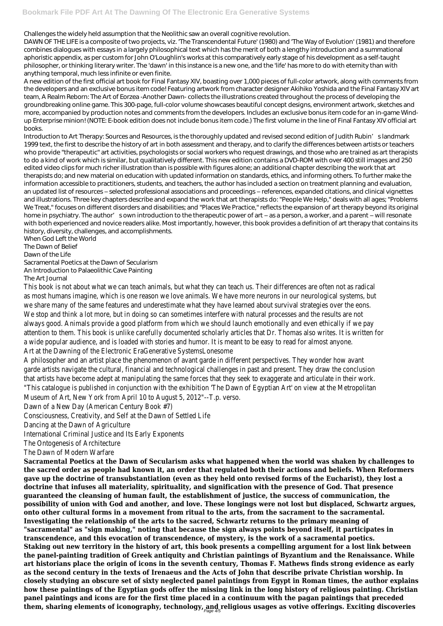Challenges the widely held assumption that the Neolithic saw an overall cognitive revolution.

DAWN OF THE LIFE is a composite of two projects, viz. 'The Transcendental Future' (1980) and 'The Way of Evolution' (1981) and therefore combines dialogues with essays in a largely philosophical text which has the merit of both a lengthy introduction and a summational aphoristic appendix, as per custom for John O'Loughlin's works at this comparatively early stage of his development as a self-taught philosopher, or thinking literary writer. The 'dawn' in this instance is a new one, and the 'life' has more to do with eternity than with anything temporal, much less infinite or even finite.

A new edition of the first official art book for Final Fantasy XIV, boasting over 1,000 pieces of full-color artwork, along with comments from the developers and an exclusive bonus item code! Featuring artwork from character designer Akihiko Yoshida and the Final Fantasy XIV art team, A Realm Reborn: The Art of Eorzea -Another Dawn- collects the illustrations created throughout the process of developing the groundbreaking online game. This 300-page, full-color volume showcases beautiful concept designs, environment artwork, sketches and more, accompanied by production notes and comments from the developers. Includes an exclusive bonus item code for an in-game Windup Enterprise minion! (NOTE: E-book edition does not include bonus item code.) The first volume in the line of Final Fantasy XIV official art books.

Introduction to Art Therapy: Sources and Resources, is the thoroughly updated and revised second edition of Judith Rubin's landmark 1999 text, the first to describe the history of art in both assessment and therapy, and to clarify the differences between artists or teachers who provide "therapeutic" art activities, psychologists or social workers who request drawings, and those who are trained as art therapists to do a kind of work which is similar, but qualitatively different. This new edition contains a DVD-ROM with over 400 still images and 250 edited video clips for much richer illustration than is possible with figures alone; an additional chapter describing the work that art therapists do; and new material on education with updated information on standards, ethics, and informing others. To further make the information accessible to practitioners, students, and teachers, the author has included a section on treatment planning and evaluation, an updated list of resources – selected professional associations and proceedings – references, expanded citations, and clinical vignettes and illustrations. Three key chapters describe and expand the work that art therapists do: "People We Help," deals with all ages; "Problems We Treat," focuses on different disorders and disabilities; and "Places We Practice," reflects the expansion of art therapy beyond its original home in psychiatry. The author' sown introduction to the therapeutic power of art – as a person, a worker, and a parent – will resonate with both experienced and novice readers alike. Most importantly, however, this book provides a definition of art therapy that contains its history, diversity, challenges, and accomplishments.

When God Left the World The Dawn of Belief Dawn of the Life Sacramental Poetics at the Dawn of Secularism An Introduction to Palaeolithic Cave Painting The Art Journal This book is not about what we can teach animals, but what they can teach us. Their differences are often not as radical as most humans imagine, which is one reason we love animals. We have more neurons in our neurological systems, but we share many of the same features and underestimate what they have learned about survival strategies over the eons. We stop and think a lot more, but in doing so can sometimes interfere with natural processes and the results are not always good. Animals provide a good platform from which we should launch emotionally and even ethically if we pay attention to them. This book is unlike carefully documented scholarly articles that Dr. Thomas also writes. It is written for

a wide popular audience, and is loaded with stories and humor. It is meant to be easy to read for almost anyone. Art at the Dawning of the Electronic EraGenerative SystemsLonesome

A philosopher and an artist place the phenomenon of avant garde in different perspectives. They wonder how avant garde artists navigate the cultural, financial and technological challenges in past and present. They draw the conclusion that artists have become adept at manipulating the same forces that they seek to exaggerate and articulate in their work. "This catalogue is published in conjunction with the exhibition 'The Dawn of Egyptian Art' on view at the Metropolitan

Museum of Art, New York from April 10 to August 5, 2012"--T.p. verso.

Dawn of a New Day (American Century Book #7)

Consciousness, Creativity, and Self at the Dawn of Settled Life

Dancing at the Dawn of Agriculture

International Criminal Justice and Its Early Exponents

The Ontogenesis of Architecture

The Dawn of Modern Warfare

**Sacramental Poetics at the Dawn of Secularism asks what happened when the world was shaken by challenges to the sacred order as people had known it, an order that regulated both their actions and beliefs. When Reformers gave up the doctrine of transubstantiation (even as they held onto revised forms of the Eucharist), they lost a doctrine that infuses all materiality, spirituality, and signification with the presence of God. That presence guaranteed the cleansing of human fault, the establishment of justice, the success of communication, the possibility of union with God and another, and love. These longings were not lost but displaced, Schwartz argues, onto other cultural forms in a movement from ritual to the arts, from the sacrament to the sacramental. Investigating the relationship of the arts to the sacred, Schwartz returns to the primary meaning of "sacramental" as "sign making," noting that because the sign always points beyond itself, it participates in transcendence, and this evocation of transcendence, of mystery, is the work of a sacramental poetics. Staking out new territory in the history of art, this book presents a compelling argument for a lost link between the panel-painting tradition of Greek antiquity and Christian paintings of Byzantium and the Renaissance. While art historians place the origin of icons in the seventh century, Thomas F. Mathews finds strong evidence as early as the second century in the texts of Irenaeus and the Acts of John that describe private Christian worship. In closely studying an obscure set of sixty neglected panel paintings from Egypt in Roman times, the author explains how these paintings of the Egyptian gods offer the missing link in the long history of religious painting. Christian panel paintings and icons are for the first time placed in a continuum with the pagan paintings that preceded them, sharing elements of iconography, technology, and religious usages as votive offerings. Exciting discoveries** Page 4/5